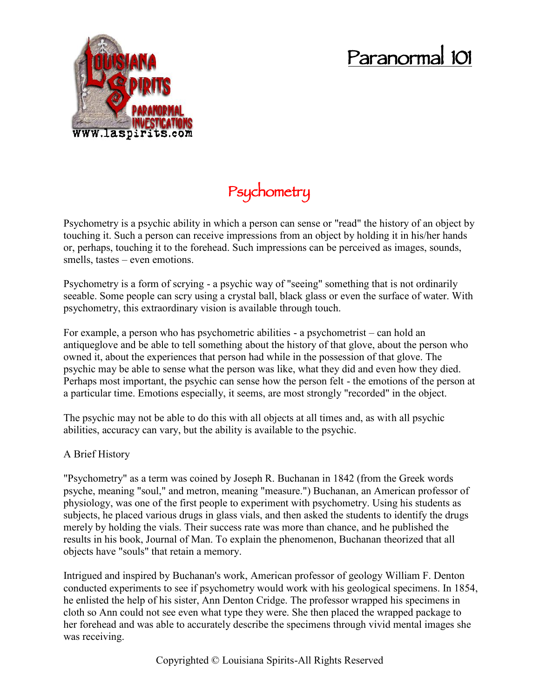## **Paranormal 101**



## **Psychometry**

Psychometry is a psychic ability in which a person can sense or "read" the history of an object by touching it. Such a person can receive impressions from an object by holding it in his/her hands or, perhaps, touching it to the forehead. Such impressions can be perceived as images, sounds, smells, tastes – even emotions.

Psychometry is a form of scrying - a psychic way of "seeing" something that is not ordinarily seeable. Some people can scry using a crystal ball, black glass or even the surface of water. With psychometry, this extraordinary vision is available through touch.

For example, a person who has psychometric abilities - a psychometrist – can hold an antiqueglove and be able to tell something about the history of that glove, about the person who owned it, about the experiences that person had while in the possession of that glove. The psychic may be able to sense what the person was like, what they did and even how they died. Perhaps most important, the psychic can sense how the person felt - the emotions of the person at a particular time. Emotions especially, it seems, are most strongly "recorded" in the object.

The psychic may not be able to do this with all objects at all times and, as with all psychic abilities, accuracy can vary, but the ability is available to the psychic.

## A Brief History

"Psychometry" as a term was coined by Joseph R. Buchanan in 1842 (from the Greek words psyche, meaning "soul," and metron, meaning "measure.") Buchanan, an American professor of physiology, was one of the first people to experiment with psychometry. Using his students as subjects, he placed various drugs in glass vials, and then asked the students to identify the drugs merely by holding the vials. Their success rate was more than chance, and he published the results in his book, Journal of Man. To explain the phenomenon, Buchanan theorized that all objects have "souls" that retain a memory.

Intrigued and inspired by Buchanan's work, American professor of geology William F. Denton conducted experiments to see if psychometry would work with his geological specimens. In 1854, he enlisted the help of his sister, Ann Denton Cridge. The professor wrapped his specimens in cloth so Ann could not see even what type they were. She then placed the wrapped package to her forehead and was able to accurately describe the specimens through vivid mental images she was receiving.